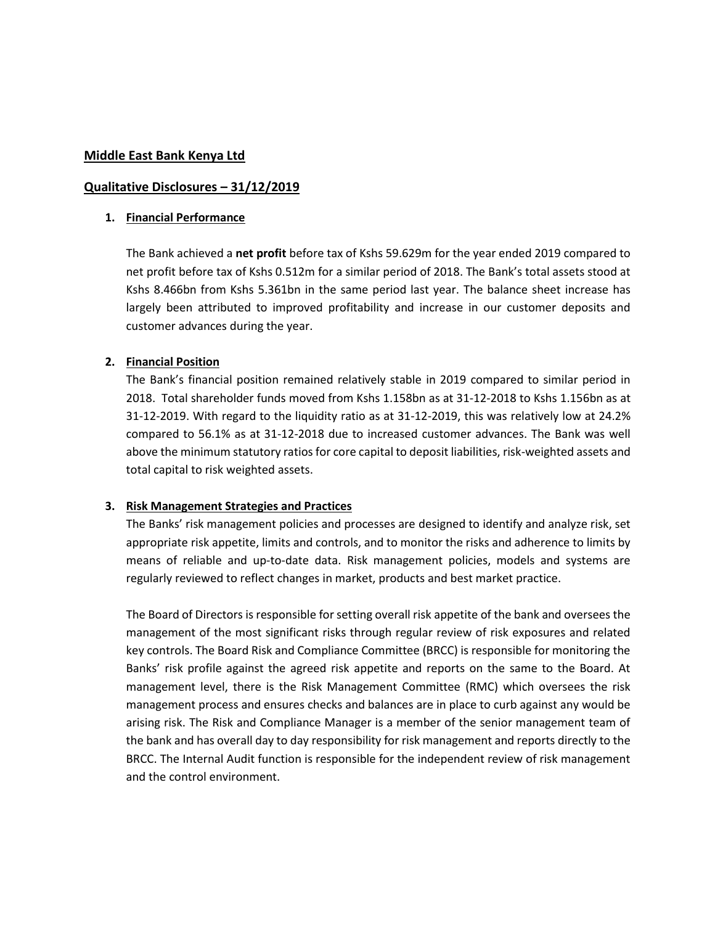### **Middle East Bank Kenya Ltd**

### **Qualitative Disclosures – 31/12/2019**

#### **1. Financial Performance**

The Bank achieved a **net profit** before tax of Kshs 59.629m for the year ended 2019 compared to net profit before tax of Kshs 0.512m for a similar period of 2018. The Bank's total assets stood at Kshs 8.466bn from Kshs 5.361bn in the same period last year. The balance sheet increase has largely been attributed to improved profitability and increase in our customer deposits and customer advances during the year.

## **2. Financial Position**

The Bank's financial position remained relatively stable in 2019 compared to similar period in 2018. Total shareholder funds moved from Kshs 1.158bn as at 31-12-2018 to Kshs 1.156bn as at 31-12-2019. With regard to the liquidity ratio as at 31-12-2019, this was relatively low at 24.2% compared to 56.1% as at 31-12-2018 due to increased customer advances. The Bank was well above the minimum statutory ratios for core capital to deposit liabilities, risk-weighted assets and total capital to risk weighted assets.

#### **3. Risk Management Strategies and Practices**

The Banks' risk management policies and processes are designed to identify and analyze risk, set appropriate risk appetite, limits and controls, and to monitor the risks and adherence to limits by means of reliable and up-to-date data. Risk management policies, models and systems are regularly reviewed to reflect changes in market, products and best market practice.

The Board of Directors is responsible for setting overall risk appetite of the bank and oversees the management of the most significant risks through regular review of risk exposures and related key controls. The Board Risk and Compliance Committee (BRCC) is responsible for monitoring the Banks' risk profile against the agreed risk appetite and reports on the same to the Board. At management level, there is the Risk Management Committee (RMC) which oversees the risk management process and ensures checks and balances are in place to curb against any would be arising risk. The Risk and Compliance Manager is a member of the senior management team of the bank and has overall day to day responsibility for risk management and reports directly to the BRCC. The Internal Audit function is responsible for the independent review of risk management and the control environment.